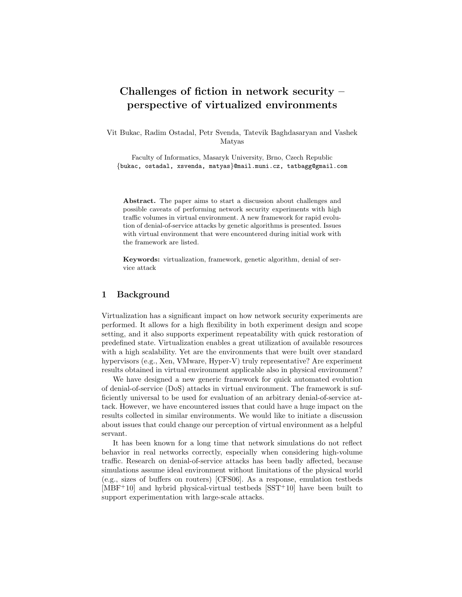# Challenges of fiction in network security – perspective of virtualized environments

Vit Bukac, Radim Ostadal, Petr Svenda, Tatevik Baghdasaryan and Vashek Matyas

Faculty of Informatics, Masaryk University, Brno, Czech Republic {bukac, ostadal, xsvenda, matyas}@mail.muni.cz, tatbagg@gmail.com

Abstract. The paper aims to start a discussion about challenges and possible caveats of performing network security experiments with high traffic volumes in virtual environment. A new framework for rapid evolution of denial-of-service attacks by genetic algorithms is presented. Issues with virtual environment that were encountered during initial work with the framework are listed.

Keywords: virtualization, framework, genetic algorithm, denial of service attack

# 1 Background

Virtualization has a significant impact on how network security experiments are performed. It allows for a high flexibility in both experiment design and scope setting, and it also supports experiment repeatability with quick restoration of predefined state. Virtualization enables a great utilization of available resources with a high scalability. Yet are the environments that were built over standard hypervisors (e.g., Xen, VMware, Hyper-V) truly representative? Are experiment results obtained in virtual environment applicable also in physical environment?

We have designed a new generic framework for quick automated evolution of denial-of-service (DoS) attacks in virtual environment. The framework is sufficiently universal to be used for evaluation of an arbitrary denial-of-service attack. However, we have encountered issues that could have a huge impact on the results collected in similar environments. We would like to initiate a discussion about issues that could change our perception of virtual environment as a helpful servant.

It has been known for a long time that network simulations do not reflect behavior in real networks correctly, especially when considering high-volume traffic. Research on denial-of-service attacks has been badly affected, because simulations assume ideal environment without limitations of the physical world (e.g., sizes of buffers on routers) [CFS06]. As a response, emulation testbeds  $[MBF<sup>+</sup>10]$  and hybrid physical-virtual testbeds  $[SST<sup>+</sup>10]$  have been built to support experimentation with large-scale attacks.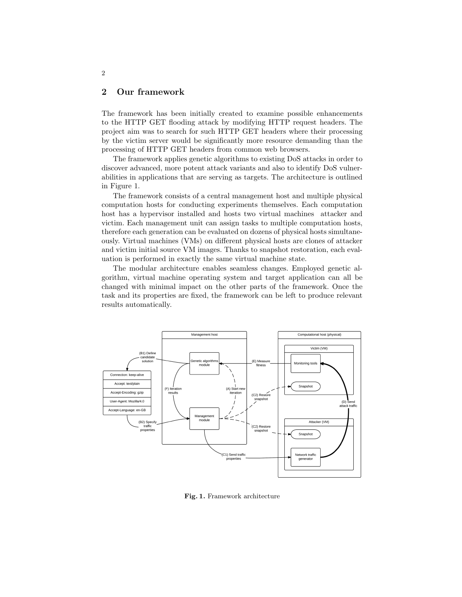## 2 Our framework

The framework has been initially created to examine possible enhancements to the HTTP GET flooding attack by modifying HTTP request headers. The project aim was to search for such HTTP GET headers where their processing by the victim server would be significantly more resource demanding than the processing of HTTP GET headers from common web browsers.

The framework applies genetic algorithms to existing DoS attacks in order to discover advanced, more potent attack variants and also to identify DoS vulnerabilities in applications that are serving as targets. The architecture is outlined in Figure 1.

The framework consists of a central management host and multiple physical computation hosts for conducting experiments themselves. Each computation host has a hypervisor installed and hosts two virtual machines attacker and victim. Each management unit can assign tasks to multiple computation hosts, therefore each generation can be evaluated on dozens of physical hosts simultaneously. Virtual machines (VMs) on different physical hosts are clones of attacker and victim initial source VM images. Thanks to snapshot restoration, each evaluation is performed in exactly the same virtual machine state.

The modular architecture enables seamless changes. Employed genetic algorithm, virtual machine operating system and target application can all be changed with minimal impact on the other parts of the framework. Once the task and its properties are fixed, the framework can be left to produce relevant results automatically.



Fig. 1. Framework architecture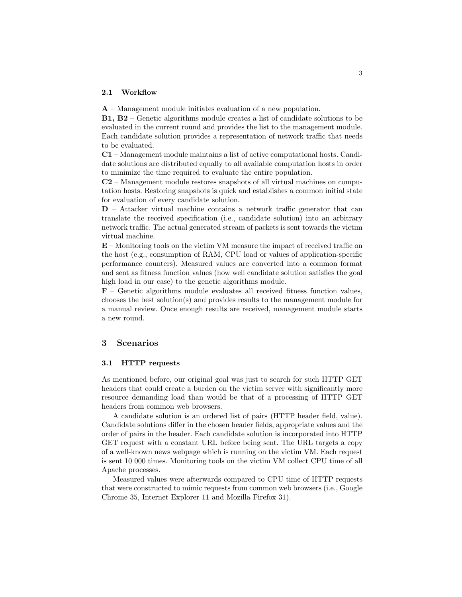#### 2.1 Workflow

A – Management module initiates evaluation of a new population.

B1, B2 – Genetic algorithms module creates a list of candidate solutions to be evaluated in the current round and provides the list to the management module. Each candidate solution provides a representation of network traffic that needs to be evaluated.

C1 – Management module maintains a list of active computational hosts. Candidate solutions are distributed equally to all available computation hosts in order to minimize the time required to evaluate the entire population.

C2 – Management module restores snapshots of all virtual machines on computation hosts. Restoring snapshots is quick and establishes a common initial state for evaluation of every candidate solution.

D – Attacker virtual machine contains a network traffic generator that can translate the received specification (i.e., candidate solution) into an arbitrary network traffic. The actual generated stream of packets is sent towards the victim virtual machine.

E – Monitoring tools on the victim VM measure the impact of received traffic on the host (e.g., consumption of RAM, CPU load or values of application-specific performance counters). Measured values are converted into a common format and sent as fitness function values (how well candidate solution satisfies the goal high load in our case) to the genetic algorithms module.

F – Genetic algorithms module evaluates all received fitness function values, chooses the best solution(s) and provides results to the management module for a manual review. Once enough results are received, management module starts a new round.

## 3 Scenarios

## 3.1 HTTP requests

As mentioned before, our original goal was just to search for such HTTP GET headers that could create a burden on the victim server with significantly more resource demanding load than would be that of a processing of HTTP GET headers from common web browsers.

A candidate solution is an ordered list of pairs (HTTP header field, value). Candidate solutions differ in the chosen header fields, appropriate values and the order of pairs in the header. Each candidate solution is incorporated into HTTP GET request with a constant URL before being sent. The URL targets a copy of a well-known news webpage which is running on the victim VM. Each request is sent 10 000 times. Monitoring tools on the victim VM collect CPU time of all Apache processes.

Measured values were afterwards compared to CPU time of HTTP requests that were constructed to mimic requests from common web browsers (i.e., Google Chrome 35, Internet Explorer 11 and Mozilla Firefox 31).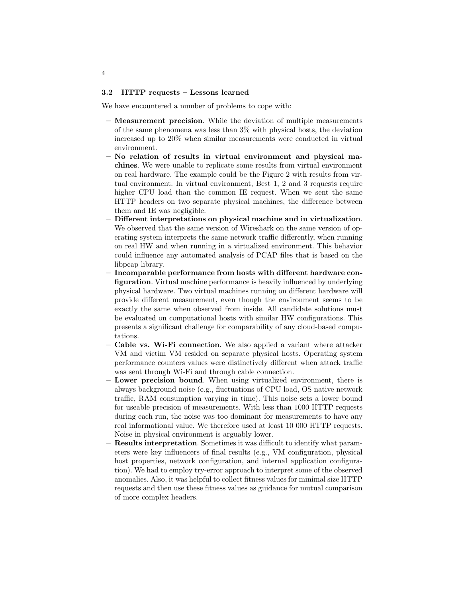#### 3.2 HTTP requests – Lessons learned

We have encountered a number of problems to cope with:

- Measurement precision. While the deviation of multiple measurements of the same phenomena was less than 3% with physical hosts, the deviation increased up to 20% when similar measurements were conducted in virtual environment.
- No relation of results in virtual environment and physical machines. We were unable to replicate some results from virtual environment on real hardware. The example could be the Figure 2 with results from virtual environment. In virtual environment, Best 1, 2 and 3 requests require higher CPU load than the common IE request. When we sent the same HTTP headers on two separate physical machines, the difference between them and IE was negligible.
- Different interpretations on physical machine and in virtualization. We observed that the same version of Wireshark on the same version of operating system interprets the same network traffic differently, when running on real HW and when running in a virtualized environment. This behavior could influence any automated analysis of PCAP files that is based on the libpcap library.
- Incomparable performance from hosts with different hardware configuration. Virtual machine performance is heavily influenced by underlying physical hardware. Two virtual machines running on different hardware will provide different measurement, even though the environment seems to be exactly the same when observed from inside. All candidate solutions must be evaluated on computational hosts with similar HW configurations. This presents a significant challenge for comparability of any cloud-based computations.
- Cable vs. Wi-Fi connection. We also applied a variant where attacker VM and victim VM resided on separate physical hosts. Operating system performance counters values were distinctively different when attack traffic was sent through Wi-Fi and through cable connection.
- Lower precision bound. When using virtualized environment, there is always background noise (e.g., fluctuations of CPU load, OS native network traffic, RAM consumption varying in time). This noise sets a lower bound for useable precision of measurements. With less than 1000 HTTP requests during each run, the noise was too dominant for measurements to have any real informational value. We therefore used at least 10 000 HTTP requests. Noise in physical environment is arguably lower.
- Results interpretation. Sometimes it was difficult to identify what parameters were key influencers of final results (e.g., VM configuration, physical host properties, network configuration, and internal application configuration). We had to employ try-error approach to interpret some of the observed anomalies. Also, it was helpful to collect fitness values for minimal size HTTP requests and then use these fitness values as guidance for mutual comparison of more complex headers.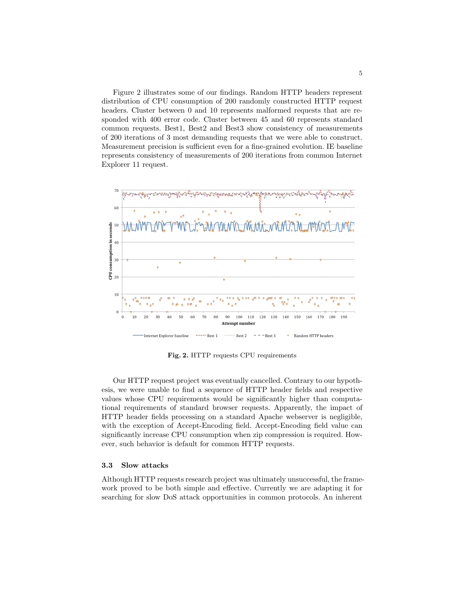Figure 2 illustrates some of our findings. Random HTTP headers represent distribution of CPU consumption of 200 randomly constructed HTTP request headers. Cluster between 0 and 10 represents malformed requests that are responded with 400 error code. Cluster between 45 and 60 represents standard common requests. Best1, Best2 and Best3 show consistency of measurements of 200 iterations of 3 most demanding requests that we were able to construct. Measurement precision is sufficient even for a fine-grained evolution. IE baseline represents consistency of measurements of 200 iterations from common Internet Explorer 11 request.



Fig. 2. HTTP requests CPU requirements

Our HTTP request project was eventually cancelled. Contrary to our hypothesis, we were unable to find a sequence of HTTP header fields and respective values whose CPU requirements would be significantly higher than computational requirements of standard browser requests. Apparently, the impact of HTTP header fields processing on a standard Apache webserver is negligible, with the exception of Accept-Encoding field. Accept-Encoding field value can significantly increase CPU consumption when zip compression is required. However, such behavior is default for common HTTP requests.

## 3.3 Slow attacks

Although HTTP requests research project was ultimately unsuccessful, the framework proved to be both simple and effective. Currently we are adapting it for searching for slow DoS attack opportunities in common protocols. An inherent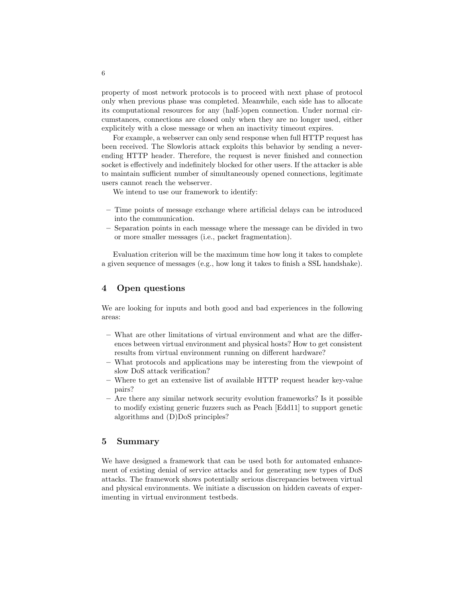property of most network protocols is to proceed with next phase of protocol only when previous phase was completed. Meanwhile, each side has to allocate its computational resources for any (half-)open connection. Under normal circumstances, connections are closed only when they are no longer used, either explicitely with a close message or when an inactivity timeout expires.

For example, a webserver can only send response when full HTTP request has been received. The Slowloris attack exploits this behavior by sending a neverending HTTP header. Therefore, the request is never finished and connection socket is effectively and indefinitely blocked for other users. If the attacker is able to maintain sufficient number of simultaneously opened connections, legitimate users cannot reach the webserver.

We intend to use our framework to identify:

- Time points of message exchange where artificial delays can be introduced into the communication.
- Separation points in each message where the message can be divided in two or more smaller messages (i.e., packet fragmentation).

Evaluation criterion will be the maximum time how long it takes to complete a given sequence of messages (e.g., how long it takes to finish a SSL handshake).

## 4 Open questions

We are looking for inputs and both good and bad experiences in the following areas:

- What are other limitations of virtual environment and what are the differences between virtual environment and physical hosts? How to get consistent results from virtual environment running on different hardware?
- What protocols and applications may be interesting from the viewpoint of slow DoS attack verification?
- Where to get an extensive list of available HTTP request header key-value pairs?
- Are there any similar network security evolution frameworks? Is it possible to modify existing generic fuzzers such as Peach [Edd11] to support genetic algorithms and (D)DoS principles?

## 5 Summary

We have designed a framework that can be used both for automated enhancement of existing denial of service attacks and for generating new types of DoS attacks. The framework shows potentially serious discrepancies between virtual and physical environments. We initiate a discussion on hidden caveats of experimenting in virtual environment testbeds.

6